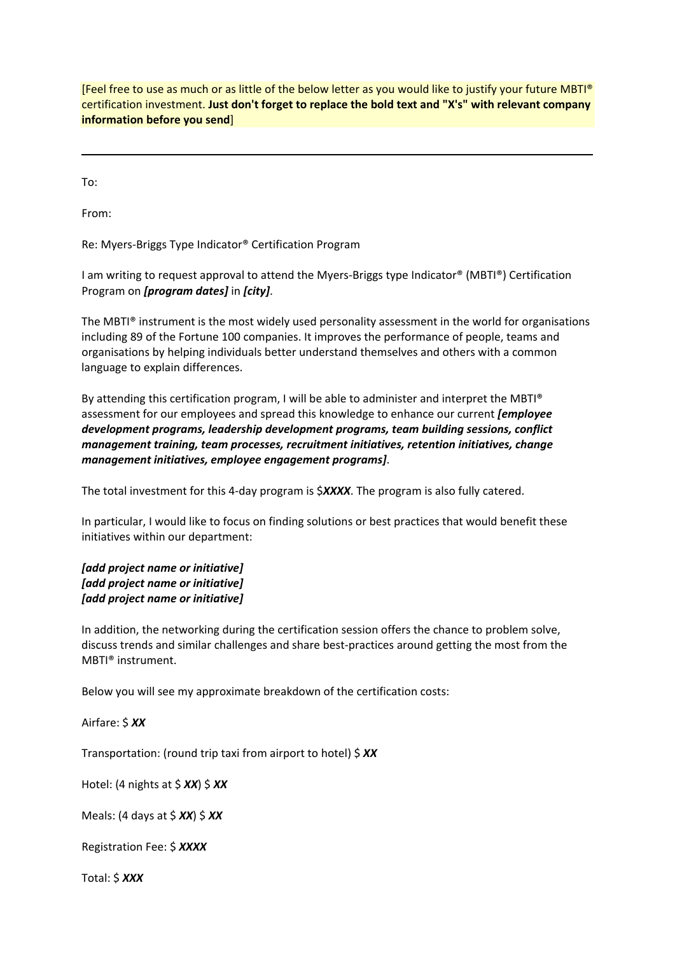[Feel free to use as much or as little of the below letter as you would like to justify your future MBTI® certification investment. **Just don't forget to replace the bold text and "X's" with relevant company information before you send**]

To:

From:

Re: Myers‐Briggs Type Indicator® Certification Program

I am writing to request approval to attend the Myers‐Briggs type Indicator® (MBTI®) Certification Program on *[program dates]* in *[city]*.

The MBTI® instrument is the most widely used personality assessment in the world for organisations including 89 of the Fortune 100 companies. It improves the performance of people, teams and organisations by helping individuals better understand themselves and others with a common language to explain differences.

By attending this certification program, I will be able to administer and interpret the MBTI® assessment for our employees and spread this knowledge to enhance our current *[employee development programs, leadership development programs, team building sessions, conflict management training, team processes, recruitment initiatives, retention initiatives, change management initiatives, employee engagement programs]*.

The total investment for this 4‐day program is \$*XXXX*. The program is also fully catered.

In particular, I would like to focus on finding solutions or best practices that would benefit these initiatives within our department:

*[add project name or initiative] [add project name or initiative] [add project name or initiative]*

In addition, the networking during the certification session offers the chance to problem solve, discuss trends and similar challenges and share best‐practices around getting the most from the MBTI® instrument.

Below you will see my approximate breakdown of the certification costs:

Airfare: \$ *XX*

Transportation: (round trip taxi from airport to hotel) \$ *XX*

Hotel: (4 nights at \$ *XX*) \$ *XX*

Meals: (4 days at \$ *XX*) \$ *XX*

Registration Fee: \$ *XXXX*

Total: \$ *XXX*